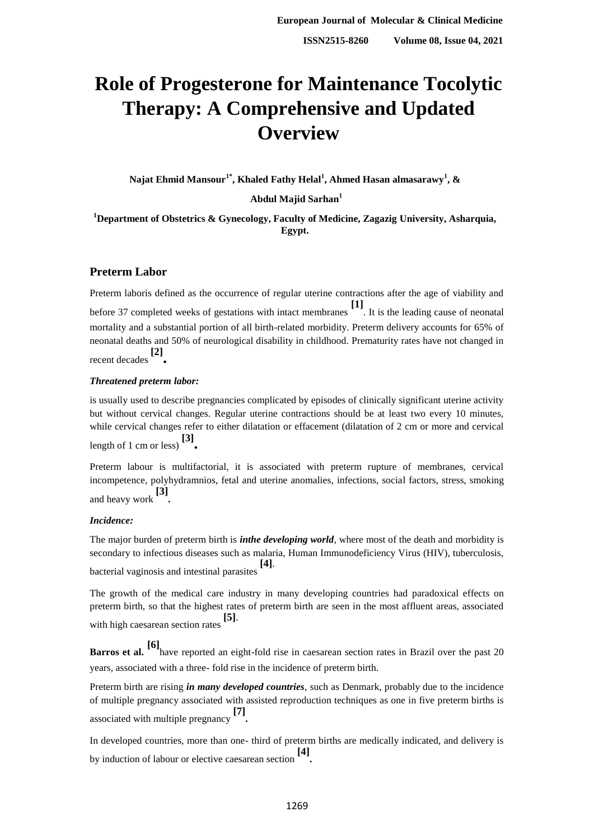# **Role of Progesterone for Maintenance Tocolytic Therapy: A Comprehensive and Updated Overview**

**Najat Ehmid Mansour1\*, Khaled Fathy Helal<sup>1</sup> , Ahmed Hasan almasarawy<sup>1</sup> , &**

**Abdul Majid Sarhan<sup>1</sup>**

**<sup>1</sup>Department of Obstetrics & Gynecology, Faculty of Medicine, Zagazig University, Asharquia, Egypt.**

# **Preterm Labor**

Preterm laboris defined as the occurrence of regular uterine contractions after the age of viability and before 37 completed weeks of gestations with intact membranes **[1]** . It is the leading cause of neonatal mortality and a substantial portion of all birth-related morbidity. Preterm delivery accounts for 65% of neonatal deaths and 50% of neurological disability in childhood. Prematurity rates have not changed in recent decades **[2] .**

## *Threatened preterm labor:*

is usually used to describe pregnancies complicated by episodes of clinically significant uterine activity but without cervical changes. Regular uterine contractions should be at least two every 10 minutes, while cervical changes refer to either dilatation or effacement (dilatation of 2 cm or more and cervical length of 1 cm or less) **[3] .**

Preterm labour is multifactorial, it is associated with preterm rupture of membranes, cervical incompetence, polyhydramnios, fetal and uterine anomalies, infections, social factors, stress, smoking and heavy work **[3] .**

## *Incidence:*

The major burden of preterm birth is *inthe developing world*, where most of the death and morbidity is secondary to infectious diseases such as malaria, Human Immunodeficiency Virus (HIV), tuberculosis, bacterial vaginosis and intestinal parasites **[4]**.

The growth of the medical care industry in many developing countries had paradoxical effects on preterm birth, so that the highest rates of preterm birth are seen in the most affluent areas, associated with high caesarean section rates **[5]**.

**Barros et al.** [6] have reported an eight-fold rise in caesarean section rates in Brazil over the past 20 years, associated with a three- fold rise in the incidence of preterm birth.

Preterm birth are rising *in many developed countries*, such as Denmark, probably due to the incidence of multiple pregnancy associated with assisted reproduction techniques as one in five preterm births is associated with multiple pregnancy **[7] .**

In developed countries, more than one- third of preterm births are medically indicated, and delivery is by induction of labour or elective caesarean section **[4] .**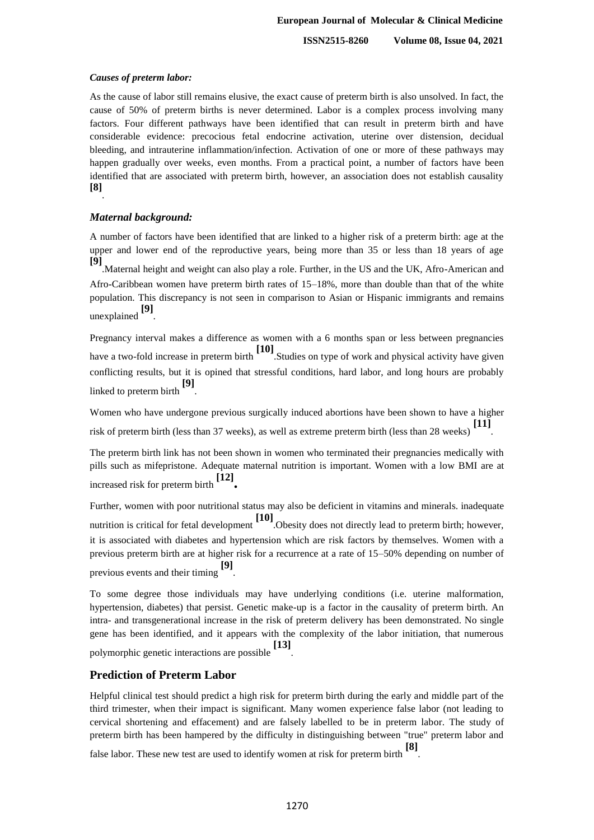**ISSN2515-8260 Volume 08, Issue 04, 2021**

#### *Causes of preterm labor:*

As the cause of labor still remains elusive, the exact cause of preterm birth is also unsolved. In fact, the cause of 50% of preterm births is never determined. Labor is a complex process involving many factors. Four different pathways have been identified that can result in preterm birth and have considerable evidence: precocious fetal endocrine activation, uterine over distension, decidual bleeding, and intrauterine inflammation/infection. Activation of one or more of these pathways may happen gradually over weeks, even months. From a practical point, a number of factors have been identified that are associated with preterm birth, however, an association does not establish causality **[8]** .

#### *Maternal background:*

A number of factors have been identified that are linked to a higher risk of a preterm birth: age at the upper and lower end of the reproductive years, being more than 35 or less than 18 years of age **[9]** .Maternal [height](http://en.wikipedia.org/wiki/Human_height) and [weight](http://en.wikipedia.org/wiki/Human_weight) can also play a role. Further, in the US and the UK, Afro-American and

Afro-Caribbean women have preterm birth rates of 15–18%, more than double than that of the white population. This discrepancy is not seen in comparison to Asian or Hispanic immigrants and remains unexplained **[9]** .

Pregnancy interval makes a difference as women with a 6 months span or less between pregnancies have a two-fold increase in preterm birth **[10]** .Studies on type of work and physical activity have given conflicting results, but it is opined that stressful conditions, hard labor, and long hours are probably linked to preterm birth **[9]** .

Women who have undergone previous surgically [induced abortions](http://en.wikipedia.org/wiki/Induced_abortion) have been shown to have a higher risk of preterm birth (less than 37 weeks), as well as extreme preterm birth (less than 28 weeks) **[11]** .

The preterm birth link has not been shown in women who terminated their pregnancies medically with pills such as mifepristone. Adequate maternal [nutrition](http://en.wikipedia.org/wiki/Nutrition) is important. Women with a low [BMI](http://en.wikipedia.org/wiki/Body_mass_index) are at increased risk for preterm birth **[12] .**

Further, women with poor nutritional status may also be deficient in [vitamins](http://en.wikipedia.org/wiki/Vitamin) and [minerals.](http://en.wikipedia.org/wiki/Mineral) inadequate nutrition is critical for fetal development **[10]** [.Obesity](http://en.wikipedia.org/wiki/Obesity) does not directly lead to preterm birth; however, it is associated with diabetes and hypertension which are risk factors by themselves. Women with a previous preterm birth are at higher risk for a recurrence at a rate of 15–50% depending on number of previous events and their timing **[9]** .

To some degree those individuals may have underlying conditions (i.e. uterine malformation, hypertension, diabetes) that persist. Genetic make-up is a factor in the causality of preterm birth. An intra- and transgenerational increase in the risk of preterm delivery has been demonstrated. No single gene has been identified, and it appears with the complexity of the labor initiation, that numerous polymorphic genetic interactions are possible **[13]** .

### **Prediction of Preterm Labor**

Helpful clinical test should predict a high risk for preterm birth during the early and middle part of the third trimester, when their impact is significant. Many women experience false labor (not leading to cervical shortening and effacement) and are falsely labelled to be in preterm labor. The study of preterm birth has been hampered by the difficulty in distinguishing between "true" preterm labor and false labor. These new test are used to identify women at risk for preterm birth **[8]** .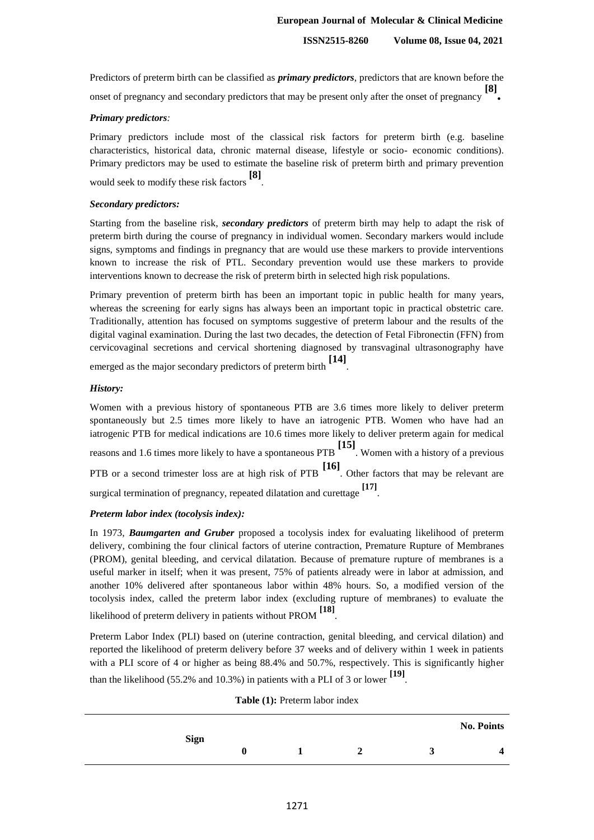## **European Journal of Molecular & Clinical Medicine**

**ISSN2515-8260 Volume 08, Issue 04, 2021**

Predictors of preterm birth can be classified as *primary predictors*, predictors that are known before the onset of pregnancy and secondary predictors that may be present only after the onset of pregnancy **[8] .**

## *Primary predictors:*

Primary predictors include most of the classical risk factors for preterm birth (e.g. baseline characteristics, historical data, chronic maternal disease, lifestyle or socio- economic conditions). Primary predictors may be used to estimate the baseline risk of preterm birth and primary prevention would seek to modify these risk factors **[8]** .

### *Secondary predictors:*

Starting from the baseline risk, *secondary predictors* of preterm birth may help to adapt the risk of preterm birth during the course of pregnancy in individual women. Secondary markers would include signs, symptoms and findings in pregnancy that are would use these markers to provide interventions known to increase the risk of PTL. Secondary prevention would use these markers to provide interventions known to decrease the risk of preterm birth in selected high risk populations.

Primary prevention of preterm birth has been an important topic in public health for many years, whereas the screening for early signs has always been an important topic in practical obstetric care. Traditionally, attention has focused on symptoms suggestive of preterm labour and the results of the digital vaginal examination. During the last two decades, the detection of Fetal Fibronectin (FFN) from cervicovaginal secretions and cervical shortening diagnosed by transvaginal ultrasonography have

emerged as the major secondary predictors of preterm birth **[14]** .

## *History:*

Women with a previous history of spontaneous PTB are 3.6 times more likely to deliver preterm spontaneously but 2.5 times more likely to have an iatrogenic PTB. Women who have had an iatrogenic PTB for medical indications are 10.6 times more likely to deliver preterm again for medical reasons and 1.6 times more likely to have a spontaneous PTB **[15]** . Women with a history of a previous PTB or a second trimester loss are at high risk of PTB **[16]** . Other factors that may be relevant are surgical termination of pregnancy, repeated dilatation and curettage **[17]** .

### *Preterm labor index (tocolysis index):*

In 1973, *Baumgarten and Gruber* proposed a tocolysis index for evaluating likelihood of preterm delivery, combining the four clinical factors of uterine contraction, Premature Rupture of Membranes (PROM), genital bleeding, and cervical dilatation. Because of premature rupture of membranes is a useful marker in itself; when it was present, 75% of patients already were in labor at admission, and another 10% delivered after spontaneous labor within 48% hours. So, a modified version of the tocolysis index, called the preterm labor index (excluding rupture of membranes) to evaluate the likelihood of preterm delivery in patients without PROM **[18]** .

Preterm Labor Index (PLI) based on (uterine contraction, genital bleeding, and cervical dilation) and reported the likelihood of preterm delivery before 37 weeks and of delivery within 1 week in patients with a PLI score of 4 or higher as being 88.4% and 50.7%, respectively. This is significantly higher than the likelihood (55.2% and 10.3%) in patients with a PLI of 3 or lower **[19]** .

| <b>Table</b> (1): Preterin fabor muex |             |  |   |  |  |                   |  |  |  |
|---------------------------------------|-------------|--|---|--|--|-------------------|--|--|--|
|                                       | <b>Sign</b> |  |   |  |  | <b>No. Points</b> |  |  |  |
|                                       | 0           |  | 2 |  |  |                   |  |  |  |
|                                       |             |  |   |  |  |                   |  |  |  |

**Table (1): Draterm labor ind**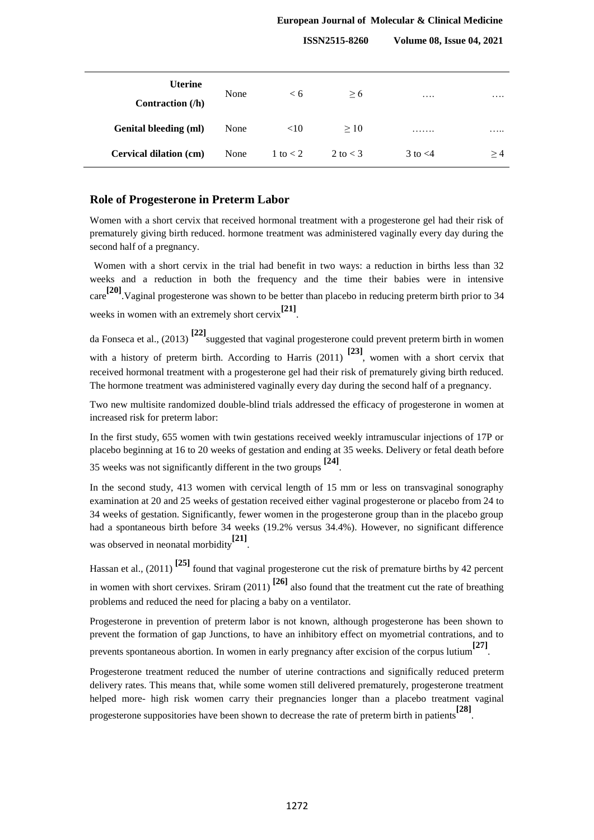### **European Journal of Molecular & Clinical Medicine**

**ISSN2515-8260 Volume 08, Issue 04, 2021**

| <b>Uterine</b><br>Contraction $(h)$ | None | < 6        | > 6          | $\cdots$     | .  |
|-------------------------------------|------|------------|--------------|--------------|----|
| <b>Genital bleeding (ml)</b>        | None | <10        | >10          | .            | .  |
| Cervical dilation (cm)              | None | 1 to $<$ 2 | $2$ to $<$ 3 | $3$ to $<$ 4 | >4 |

## **Role of Progesterone in Preterm Labor**

Women with a short cervix that received hormonal treatment with a progesterone gel had their risk of prematurely giving birth reduced. hormone treatment was administered vaginally every day during the second half of a pregnancy.

Women with a short cervix in the trial had benefit in two ways: a reduction in births less than 32 weeks and a reduction in both the frequency and the time their babies were in intensive care **[20]**.Vaginal progesterone was shown to be better than placebo in reducing preterm birth prior to 34 weeks in women with an extremely short cervix**[21]** .

da Fonseca et al., (2013) **[22]**suggested that vaginal progesterone could prevent preterm birth in women with a history of preterm birth. According to Harris (2011) <sup>[23]</sup>, women with a short cervix that received hormonal treatment with a progesterone gel had their risk of prematurely giving birth reduced. The hormone treatment was administered vaginally every day during the second half of a pregnancy.

Two new multisite randomized double-blind trials addressed the efficacy of progesterone in women at increased risk for preterm labor:

In the first study, 655 women with twin gestations received weekly intramuscular injections of 17P or placebo beginning at 16 to 20 weeks of gestation and ending at 35 weeks. Delivery or fetal death before 35 weeks was not significantly different in the two groups **[24]** .

In the second study, 413 women with cervical length of 15 mm or less on transvaginal sonography examination at 20 and 25 weeks of gestation received either vaginal progesterone or placebo from 24 to 34 weeks of gestation. Significantly, fewer women in the progesterone group than in the placebo group had a spontaneous birth before 34 weeks (19.2% versus 34.4%). However, no significant difference was observed in neonatal morbidity**[21]** .

Hassan et al., (2011) **[25]** found that vaginal progesterone cut the risk of premature births by 42 percent in women with short cervixes. Sriram (2011) **[26]** also found that the treatment cut the rate of breathing problems and reduced the need for placing a baby on a ventilator.

Progesterone in prevention of preterm labor is not known, although progesterone has been shown to prevent the formation of gap Junctions, to have an inhibitory effect on myometrial contrations, and to prevents spontaneous abortion. In women in early pregnancy after excision of the corpus lutium**[27]** .

Progesterone treatment reduced the number of uterine contractions and significally reduced preterm delivery rates. This means that, while some women still delivered prematurely, progesterone treatment helped more- high risk women carry their pregnancies longer than a placebo treatment vaginal progesterone suppositories have been shown to decrease the rate of preterm birth in patients**[28]** .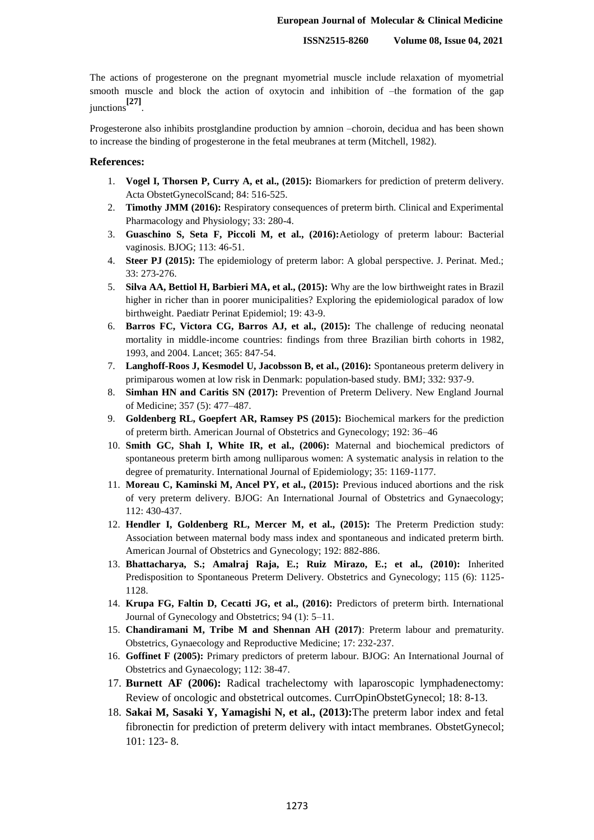The actions of progesterone on the pregnant myometrial muscle include relaxation of myometrial smooth muscle and block the action of oxytocin and inhibition of –the formation of the gap junctions**[27]** .

Progesterone also inhibits prostglandine production by amnion –choroin, decidua and has been shown to increase the binding of progesterone in the fetal meubranes at term (Mitchell, 1982).

#### **References:**

- 1. **Vogel I, Thorsen P, Curry A, et al., (2015):** Biomarkers for prediction of preterm delivery. Acta ObstetGynecolScand; 84: 516-525.
- 2. **Timothy JMM (2016):** Respiratory consequences of preterm birth. Clinical and Experimental Pharmacology and Physiology; 33: 280-4.
- 3. **Guaschino S, Seta F, Piccoli M, et al., (2016):**Aetiology of preterm labour: Bacterial vaginosis. BJOG; 113: 46-51.
- 4. **Steer PJ (2015):** The epidemiology of preterm labor: A global perspective. J. Perinat. Med.; 33: 273-276.
- 5. **Silva AA, Bettiol H, Barbieri MA, et al., (2015):** Why are the low birthweight rates in Brazil higher in richer than in poorer municipalities? Exploring the epidemiological paradox of low birthweight. Paediatr Perinat Epidemiol; 19: 43-9.
- 6. **Barros FC, Victora CG, Barros AJ, et al., (2015):** The challenge of reducing neonatal mortality in middle-income countries: findings from three Brazilian birth cohorts in 1982, 1993, and 2004. Lancet; 365: 847-54.
- 7. **Langhoff-Roos J, Kesmodel U, Jacobsson B, et al., (2016):** Spontaneous preterm delivery in primiparous women at low risk in Denmark: population-based study. BMJ; 332: 937-9.
- 8. **Simhan HN and Caritis SN (2017):** Prevention of Preterm Delivery. New England Journal of Medicine; 357 (5): 477–487.
- 9. **Goldenberg RL, Goepfert AR, Ramsey PS (2015):** Biochemical markers for the prediction of preterm birth. American Journal of Obstetrics and Gynecology; 192: 36–46
- 10. **Smith GC, Shah I, White IR, et al., (2006):** Maternal and biochemical predictors of spontaneous preterm birth among nulliparous women: A systematic analysis in relation to the degree of prematurity. International Journal of Epidemiology; 35: 1169-1177.
- 11. **Moreau C, Kaminski M, Ancel PY, et al., (2015):** Previous induced abortions and the risk of very preterm delivery. BJOG: An International Journal of Obstetrics and Gynaecology; 112: 430-437.
- 12. **Hendler I, Goldenberg RL, Mercer M, et al., (2015):** The Preterm Prediction study: Association between maternal body mass index and spontaneous and indicated preterm birth. American Journal of Obstetrics and Gynecology; 192: 882-886.
- 13. **Bhattacharya, S.; Amalraj Raja, E.; Ruiz Mirazo, E.; et al., (2010):** Inherited Predisposition to Spontaneous Preterm Delivery. Obstetrics and Gynecology; 115 (6): 1125- 1128.
- 14. **Krupa FG, Faltin D, Cecatti JG, et al., (2016):** Predictors of preterm birth. International Journal of Gynecology and Obstetrics; 94 (1): 5–11.
- 15. **Chandiramani M, Tribe M and Shennan AH (2017)**: Preterm labour and prematurity. Obstetrics, Gynaecology and Reproductive Medicine; 17: 232-237.
- 16. **Goffinet F (2005):** Primary predictors of preterm labour. BJOG: An International Journal of Obstetrics and Gynaecology; 112: 38-47.
- 17. **Burnett AF (2006):** Radical trachelectomy with laparoscopic lymphadenectomy: Review of oncologic and obstetrical outcomes. CurrOpinObstetGynecol; 18: 8-13.
- 18. **Sakai M, Sasaki Y, Yamagishi N, et al., (2013):**The preterm labor index and fetal fibronectin for prediction of preterm delivery with intact membranes. ObstetGynecol; 101: 123- 8.